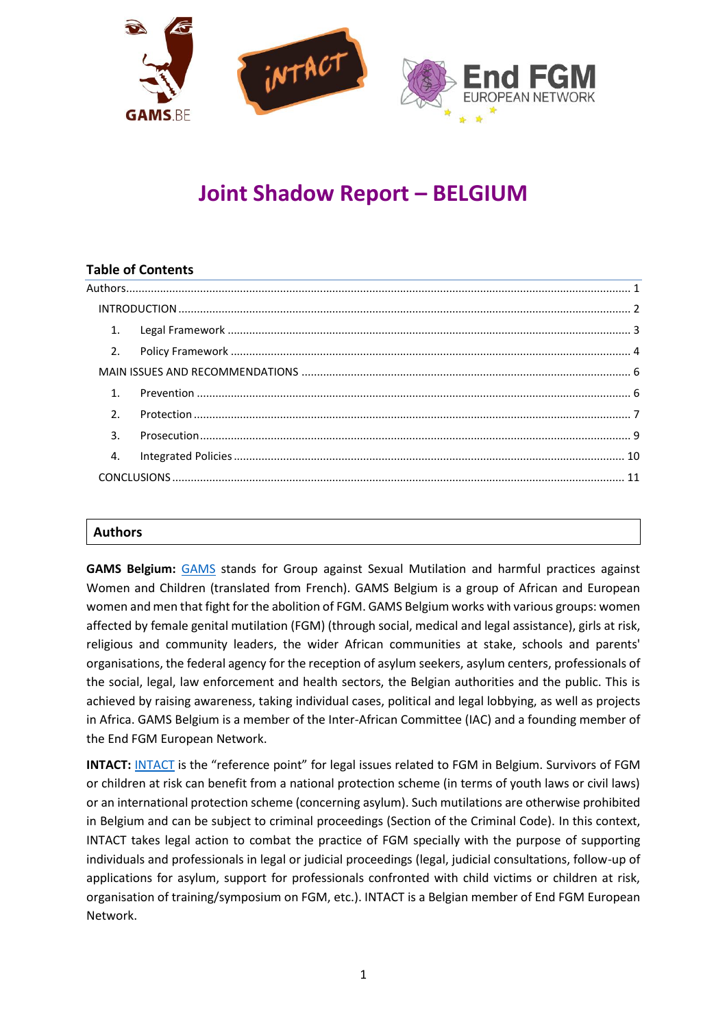

# **Joint Shadow Report – BELGIUM**

## **Table of Contents**

|  | 1.             |  |  |
|--|----------------|--|--|
|  | 2.             |  |  |
|  |                |  |  |
|  | 1 <sup>1</sup> |  |  |
|  | 2.             |  |  |
|  | 3.             |  |  |
|  | 4.             |  |  |
|  |                |  |  |
|  |                |  |  |

#### <span id="page-0-0"></span>**Authors**

**GAMS Belgium:** [GAMS](http://gams.be/) stands for Group against Sexual Mutilation and harmful practices against Women and Children (translated from French). GAMS Belgium is a group of African and European women and men that fight for the abolition of FGM. GAMS Belgium works with various groups: women affected by female genital mutilation (FGM) (through social, medical and legal assistance), girls at risk, religious and community leaders, the wider African communities at stake, schools and parents' organisations, the federal agency for the reception of asylum seekers, asylum centers, professionals of the social, legal, law enforcement and health sectors, the Belgian authorities and the public. This is achieved by raising awareness, taking individual cases, political and legal lobbying, as well as projects in Africa. GAMS Belgium is a member of the Inter-African Committee (IAC) and a founding member of the End FGM European Network.

**[INTACT](http://www.intact-association.org/):** INTACT is the "reference point" for legal issues related to FGM in Belgium. Survivors of FGM or children at risk can benefit from a national protection scheme (in terms of youth laws or civil laws) or an international protection scheme (concerning asylum). Such mutilations are otherwise prohibited in Belgium and can be subject to criminal proceedings (Section of the Criminal Code). In this context, INTACT takes legal action to combat the practice of FGM specially with the purpose of supporting individuals and professionals in legal or judicial proceedings (legal, judicial consultations, follow-up of applications for asylum, support for professionals confronted with child victims or children at risk, organisation of training/symposium on FGM, etc.). INTACT is a Belgian member of End FGM European Network.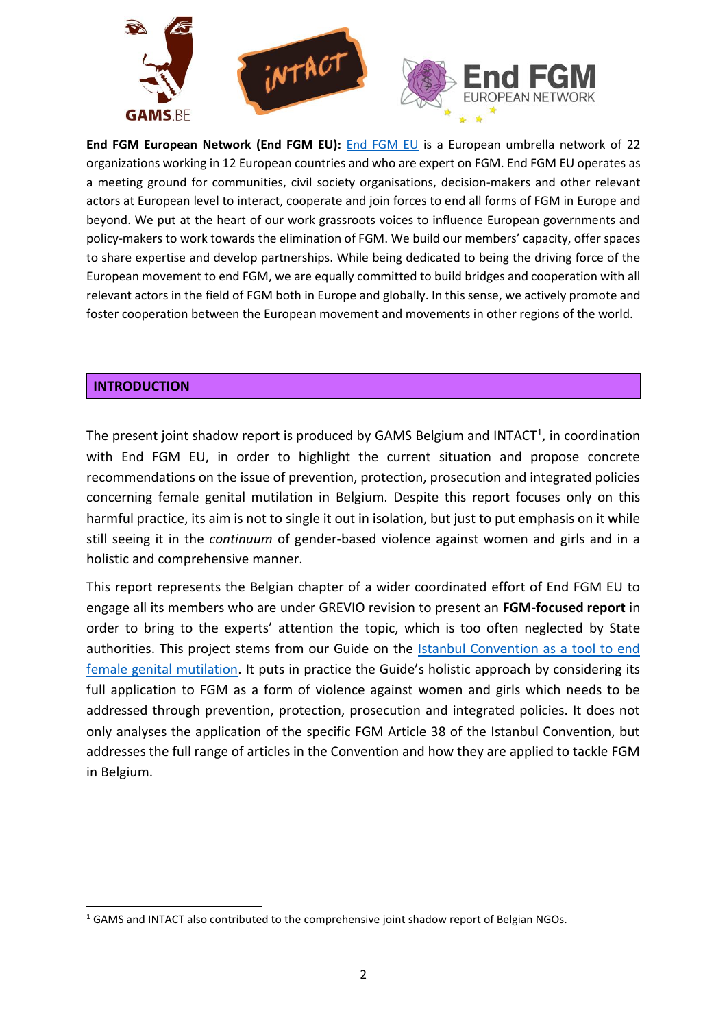

**End FGM European Network (End FGM EU):** [End FGM EU](http://www.endfgm.eu/) is a European umbrella network of 22 organizations working in 12 European countries and who are expert on FGM. End FGM EU operates as a meeting ground for communities, civil society organisations, decision-makers and other relevant actors at European level to interact, cooperate and join forces to end all forms of FGM in Europe and beyond. We put at the heart of our work grassroots voices to influence European governments and policy-makers to work towards the elimination of FGM. We build our members' capacity, offer spaces to share expertise and develop partnerships. While being dedicated to being the driving force of the European movement to end FGM, we are equally committed to build bridges and cooperation with all relevant actors in the field of FGM both in Europe and globally. In this sense, we actively promote and foster cooperation between the European movement and movements in other regions of the world.

## <span id="page-1-0"></span>**INTRODUCTION**

1

The present joint shadow report is produced by GAMS Belgium and INTACT<sup>1</sup>, in coordination with End FGM EU, in order to highlight the current situation and propose concrete recommendations on the issue of prevention, protection, prosecution and integrated policies concerning female genital mutilation in Belgium. Despite this report focuses only on this harmful practice, its aim is not to single it out in isolation, but just to put emphasis on it while still seeing it in the *continuum* of gender-based violence against women and girls and in a holistic and comprehensive manner.

This report represents the Belgian chapter of a wider coordinated effort of End FGM EU to engage all its members who are under GREVIO revision to present an **FGM-focused report** in order to bring to the experts' attention the topic, which is too often neglected by State authorities. This project stems from our Guide on the [Istanbul Convention as a tool to end](http://www.endfgm.eu/editor/files/2016/01/IstanbulConventionFGMguide_FINAL_ENGLISH.pdf)  [female genital mutilation.](http://www.endfgm.eu/editor/files/2016/01/IstanbulConventionFGMguide_FINAL_ENGLISH.pdf) It puts in practice the Guide's holistic approach by considering its full application to FGM as a form of violence against women and girls which needs to be addressed through prevention, protection, prosecution and integrated policies. It does not only analyses the application of the specific FGM Article 38 of the Istanbul Convention, but addresses the full range of articles in the Convention and how they are applied to tackle FGM in Belgium.

 $1$  GAMS and INTACT also contributed to the comprehensive joint shadow report of Belgian NGOs.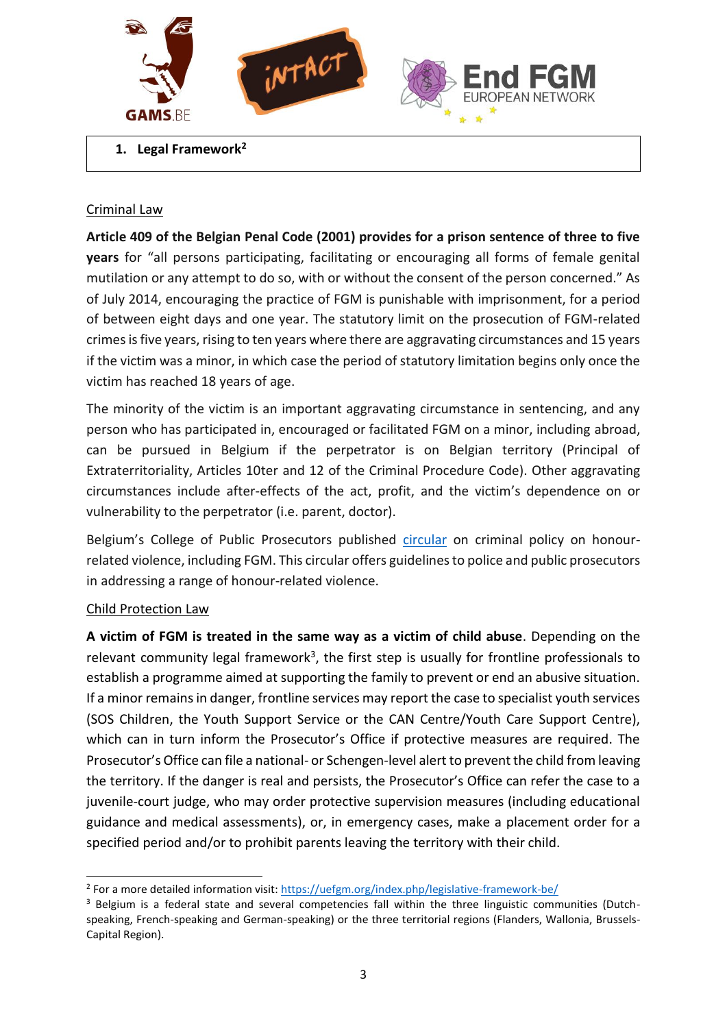

<span id="page-2-0"></span>**1. Legal Framework<sup>2</sup>**

## Criminal Law

**Article 409 of the Belgian Penal Code (2001) provides for a prison sentence of three to five years** for "all persons participating, facilitating or encouraging all forms of female genital mutilation or any attempt to do so, with or without the consent of the person concerned." As of July 2014, encouraging the practice of FGM is punishable with imprisonment, for a period of between eight days and one year. The statutory limit on the prosecution of FGM-related crimes is five years, rising to ten years where there are aggravating circumstances and 15 years if the victim was a minor, in which case the period of statutory limitation begins only once the victim has reached 18 years of age.

The minority of the victim is an important aggravating circumstance in sentencing, and any person who has participated in, encouraged or facilitated FGM on a minor, including abroad, can be pursued in Belgium if the perpetrator is on Belgian territory (Principal of Extraterritoriality, Articles 10ter and 12 of the Criminal Procedure Code). Other aggravating circumstances include after-effects of the act, profit, and the victim's dependence on or vulnerability to the perpetrator (i.e. parent, doctor).

Belgium's College of Public Prosecutors published [circular](https://igvm-iefh.belgium.be/fr/actualite/presentation_de_la_nouvelle_circulaire_de_politique_criminelle_relative_aux_violences) on criminal policy on honourrelated violence, including FGM. This circular offers guidelines to police and public prosecutors in addressing a range of honour-related violence.

#### Child Protection Law

1

**A victim of FGM is treated in the same way as a victim of child abuse**. Depending on the relevant community legal framework<sup>3</sup>, the first step is usually for frontline professionals to establish a programme aimed at supporting the family to prevent or end an abusive situation. If a minor remains in danger, frontline services may report the case to specialist youth services (SOS Children, the Youth Support Service or the CAN Centre/Youth Care Support Centre), which can in turn inform the Prosecutor's Office if protective measures are required. The Prosecutor's Office can file a national- or Schengen-level alert to prevent the child from leaving the territory. If the danger is real and persists, the Prosecutor's Office can refer the case to a juvenile-court judge, who may order protective supervision measures (including educational guidance and medical assessments), or, in emergency cases, make a placement order for a specified period and/or to prohibit parents leaving the territory with their child.

<sup>&</sup>lt;sup>2</sup> For a more detailed information visit: https://uefgm.org/index.php/legislative-framework-be/

<sup>&</sup>lt;sup>3</sup> Belgium is a federal state and several competencies fall within the three linguistic communities (Dutchspeaking, French-speaking and German-speaking) or the three territorial regions (Flanders, Wallonia, Brussels-Capital Region).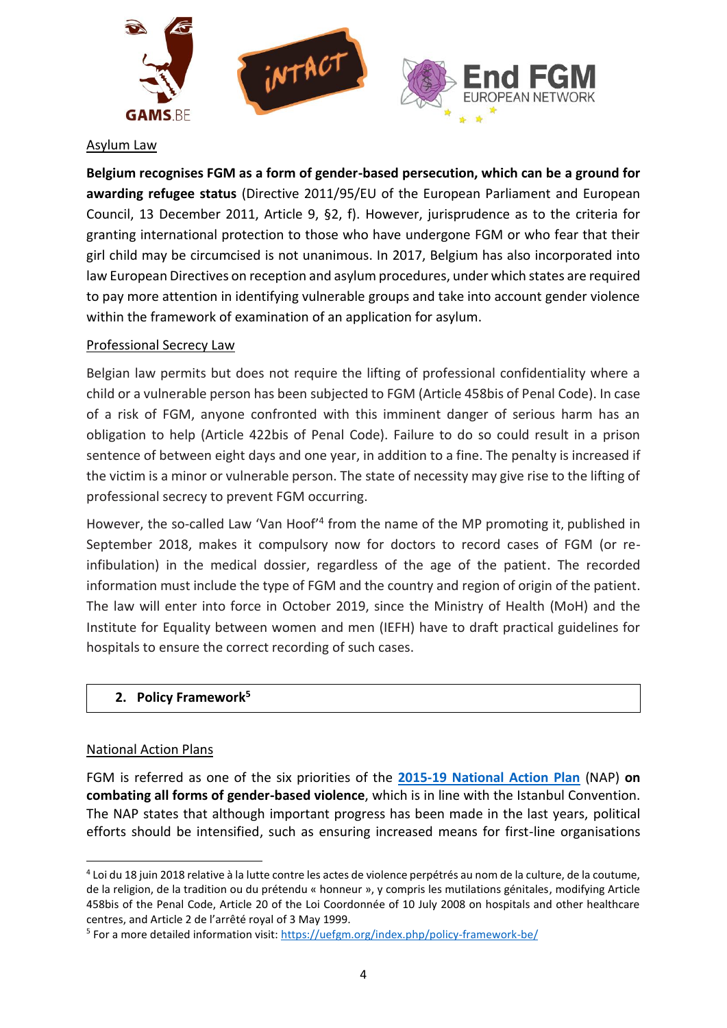

#### Asylum Law

**Belgium recognises FGM as a form of gender-based persecution, which can be a ground for awarding refugee status** (Directive 2011/95/EU of the European Parliament and European Council, 13 December 2011, Article 9, §2, f). However, jurisprudence as to the criteria for granting international protection to those who have undergone FGM or who fear that their girl child may be circumcised is not unanimous. In 2017, Belgium has also incorporated into law European Directives on reception and asylum procedures, under which states are required to pay more attention in identifying vulnerable groups and take into account gender violence within the framework of examination of an application for asylum.

#### Professional Secrecy Law

Belgian law permits but does not require the lifting of professional confidentiality where a child or a vulnerable person has been subjected to FGM (Article 458bis of Penal Code). In case of a risk of FGM, anyone confronted with this imminent danger of serious harm has an obligation to help (Article 422bis of Penal Code). Failure to do so could result in a prison sentence of between eight days and one year, in addition to a fine. The penalty is increased if the victim is a minor or vulnerable person. The state of necessity may give rise to the lifting of professional secrecy to prevent FGM occurring.

However, the so-called Law 'Van Hoof<sup>'4</sup> from the name of the MP promoting it, published in September 2018, makes it compulsory now for doctors to record cases of FGM (or reinfibulation) in the medical dossier, regardless of the age of the patient. The recorded information must include the type of FGM and the country and region of origin of the patient. The law will enter into force in October 2019, since the Ministry of Health (MoH) and the Institute for Equality between women and men (IEFH) have to draft practical guidelines for hospitals to ensure the correct recording of such cases.

#### <span id="page-3-0"></span>**2. Policy Framework<sup>5</sup>**

#### National Action Plans

<u>.</u>

FGM is referred as one of the six priorities of the **[2015-19 National Action Plan](https://igvm-iefh.belgium.be/fr/publications/plan_daction_national_de_lutte_contre_toutes_les_formes_de_violence_basee_sur_le_genre)** (NAP) **on combating all forms of gender-based violence**, which is in line with the Istanbul Convention. The NAP states that although important progress has been made in the last years, political efforts should be intensified, such as ensuring increased means for first-line organisations

<sup>4</sup> Loi du 18 juin 2018 relative à la lutte contre les actes de violence perpétrés au nom de la culture, de la coutume, de la religion, de la tradition ou du prétendu « honneur », y compris les mutilations génitales, modifying Article 458bis of the Penal Code, Article 20 of the Loi Coordonnée of 10 July 2008 on hospitals and other healthcare centres, and Article 2 de l'arrêté royal of 3 May 1999.

<sup>&</sup>lt;sup>5</sup> For a more detailed information visit: https://uefgm.org/index.php/policy-framework-be/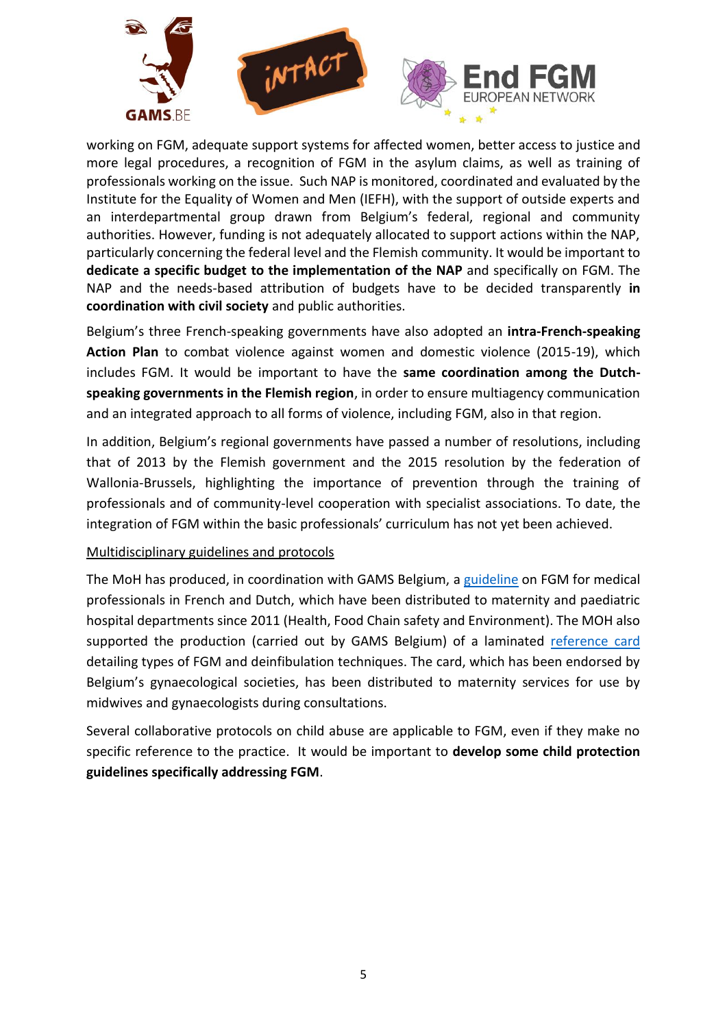

working on FGM, adequate support systems for affected women, better access to justice and more legal procedures, a recognition of FGM in the asylum claims, as well as training of professionals working on the issue. Such NAP is monitored, coordinated and evaluated by the Institute for the Equality of Women and Men (IEFH), with the support of outside experts and an interdepartmental group drawn from Belgium's federal, regional and community authorities. However, funding is not adequately allocated to support actions within the NAP, particularly concerning the federal level and the Flemish community. It would be important to **dedicate a specific budget to the implementation of the NAP** and specifically on FGM. The NAP and the needs-based attribution of budgets have to be decided transparently **in coordination with civil society** and public authorities.

Belgium's three French-speaking governments have also adopted an **intra-French-speaking Action Plan** to combat violence against women and domestic violence (2015-19), which includes FGM. It would be important to have the **same coordination among the Dutchspeaking governments in the Flemish region**, in order to ensure multiagency communication and an integrated approach to all forms of violence, including FGM, also in that region.

In addition, Belgium's regional governments have passed a number of resolutions, including that of 2013 by the Flemish government and the 2015 resolution by the federation of Wallonia-Brussels, highlighting the importance of prevention through the training of professionals and of community-level cooperation with specialist associations. To date, the integration of FGM within the basic professionals' curriculum has not yet been achieved.

## Multidisciplinary guidelines and protocols

The MoH has produced, in coordination with GAMS Belgium, a [guideline](http://www.strategiesconcertees-mgf.be/tool/mutilations-genitales-feminines-guide-a-lusage-des-professions-concernees/) on FGM for medical professionals in French and Dutch, which have been distributed to maternity and paediatric hospital departments since 2011 (Health, Food Chain safety and Environment). The MOH also supported the production (carried out by GAMS Belgium) of a laminated [reference card](http://www.strategiesconcertees-mgf.be/en/tool/board-depicting-the-different-types-of-female-genital-mutilation-fgm-technique-of-desinfibulation/) detailing types of FGM and deinfibulation techniques. The card, which has been endorsed by Belgium's gynaecological societies, has been distributed to maternity services for use by midwives and gynaecologists during consultations.

Several collaborative protocols on child abuse are applicable to FGM, even if they make no specific reference to the practice. It would be important to **develop some child protection guidelines specifically addressing FGM**.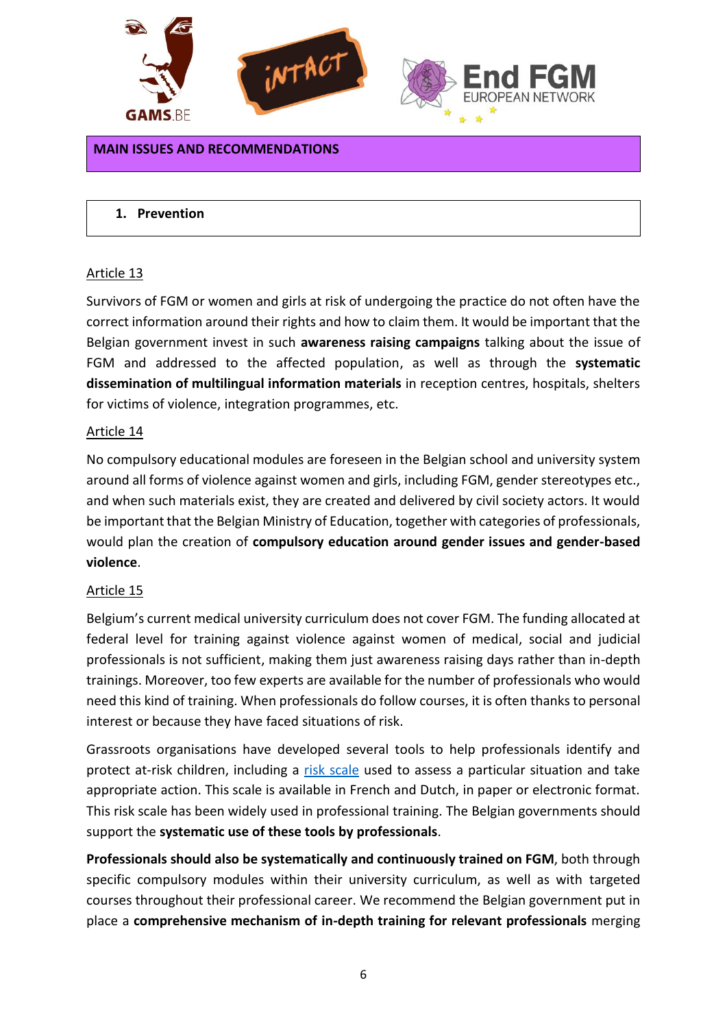

#### <span id="page-5-0"></span>**MAIN ISSUES AND RECOMMENDATIONS**

#### <span id="page-5-1"></span>**1. Prevention**

#### Article 13

Survivors of FGM or women and girls at risk of undergoing the practice do not often have the correct information around their rights and how to claim them. It would be important that the Belgian government invest in such **awareness raising campaigns** talking about the issue of FGM and addressed to the affected population, as well as through the **systematic dissemination of multilingual information materials** in reception centres, hospitals, shelters for victims of violence, integration programmes, etc.

#### Article 14

No compulsory educational modules are foreseen in the Belgian school and university system around all forms of violence against women and girls, including FGM, gender stereotypes etc., and when such materials exist, they are created and delivered by civil society actors. It would be important that the Belgian Ministry of Education, together with categories of professionals, would plan the creation of **compulsory education around gender issues and gender-based violence**.

#### Article 15

Belgium's current medical university curriculum does not cover FGM. The funding allocated at federal level for training against violence against women of medical, social and judicial professionals is not sufficient, making them just awareness raising days rather than in-depth trainings. Moreover, too few experts are available for the number of professionals who would need this kind of training. When professionals do follow courses, it is often thanks to personal interest or because they have faced situations of risk.

Grassroots organisations have developed several tools to help professionals identify and protect at-risk children, including a [risk scale](http://www.strategiesconcertees-mgf.be/wp-content/uploads/MGF-tryptique_final_RTP.pdf) used to assess a particular situation and take appropriate action. This scale is available in French and Dutch, in paper or electronic format. This risk scale has been widely used in professional training. The Belgian governments should support the **systematic use of these tools by professionals**.

**Professionals should also be systematically and continuously trained on FGM**, both through specific compulsory modules within their university curriculum, as well as with targeted courses throughout their professional career. We recommend the Belgian government put in place a **comprehensive mechanism of in-depth training for relevant professionals** merging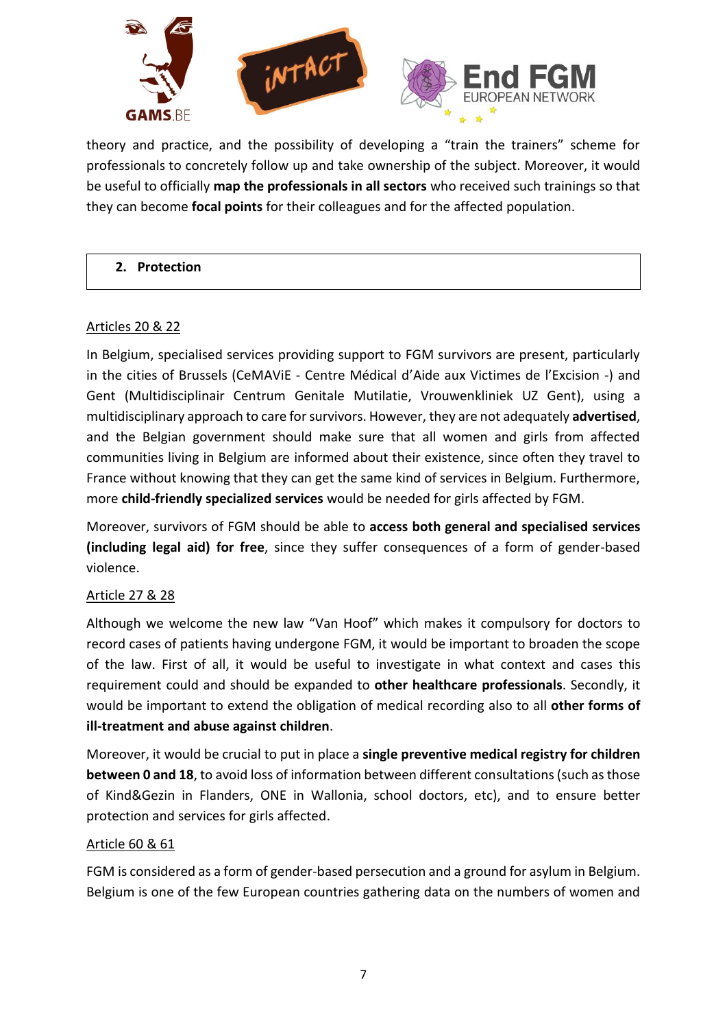

theory and practice, and the possibility of developing a "train the trainers" scheme for professionals to concretely follow up and take ownership of the subject. Moreover, it would be useful to officially **map the professionals in all sectors** who received such trainings so that they can become **focal points** for their colleagues and for the affected population.

## <span id="page-6-0"></span>**2. Protection**

## Articles 20 & 22

In Belgium, specialised services providing support to FGM survivors are present, particularly in the cities of Brussels (CeMAViE - Centre Médical d'Aide aux Victimes de l'Excision -) and Gent (Multidisciplinair Centrum Genitale Mutilatie, Vrouwenkliniek UZ Gent), using a multidisciplinary approach to care for survivors. However, they are not adequately **advertised**, and the Belgian government should make sure that all women and girls from affected communities living in Belgium are informed about their existence, since often they travel to France without knowing that they can get the same kind of services in Belgium. Furthermore, more **child-friendly specialized services** would be needed for girls affected by FGM.

Moreover, survivors of FGM should be able to **access both general and specialised services (including legal aid) for free**, since they suffer consequences of a form of gender-based violence.

## Article 27 & 28

Although we welcome the new law "Van Hoof" which makes it compulsory for doctors to record cases of patients having undergone FGM, it would be important to broaden the scope of the law. First of all, it would be useful to investigate in what context and cases this requirement could and should be expanded to **other healthcare professionals**. Secondly, it would be important to extend the obligation of medical recording also to all **other forms of ill-treatment and abuse against children**.

Moreover, it would be crucial to put in place a **single preventive medical registry for children between 0 and 18**, to avoid loss of information between different consultations (such as those of Kind&Gezin in Flanders, ONE in Wallonia, school doctors, etc), and to ensure better protection and services for girls affected.

## Article 60 & 61

FGM is considered as a form of gender-based persecution and a ground for asylum in Belgium. Belgium is one of the few European countries gathering data on the numbers of women and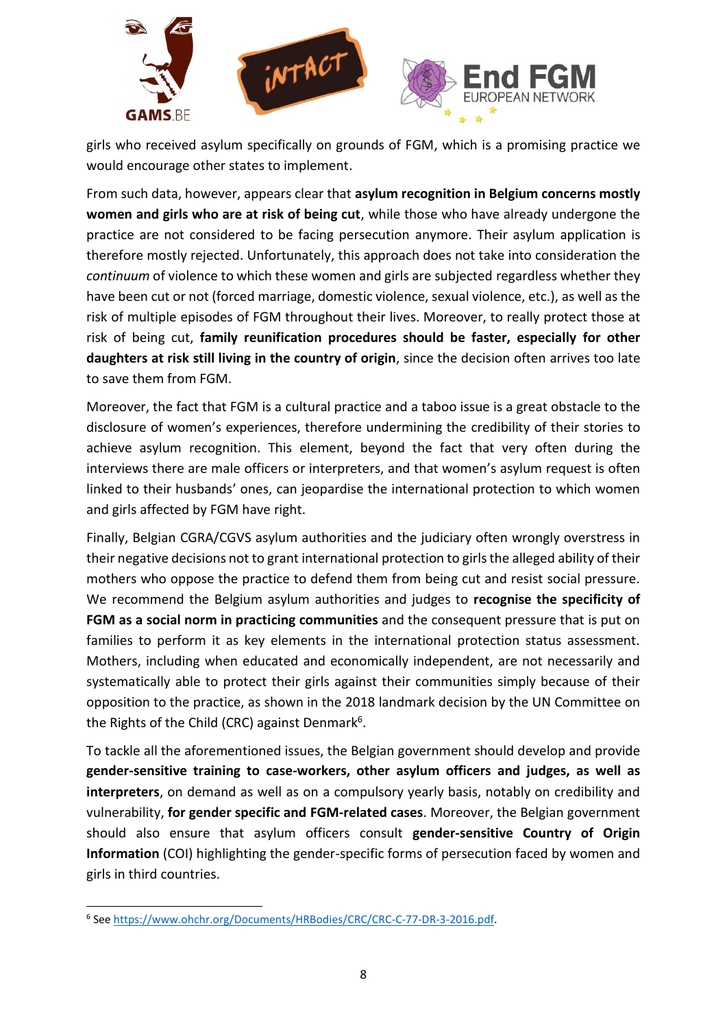

girls who received asylum specifically on grounds of FGM, which is a promising practice we would encourage other states to implement.

From such data, however, appears clear that **asylum recognition in Belgium concerns mostly women and girls who are at risk of being cut**, while those who have already undergone the practice are not considered to be facing persecution anymore. Their asylum application is therefore mostly rejected. Unfortunately, this approach does not take into consideration the *continuum* of violence to which these women and girls are subjected regardless whether they have been cut or not (forced marriage, domestic violence, sexual violence, etc.), as well as the risk of multiple episodes of FGM throughout their lives. Moreover, to really protect those at risk of being cut, **family reunification procedures should be faster, especially for other daughters at risk still living in the country of origin**, since the decision often arrives too late to save them from FGM.

Moreover, the fact that FGM is a cultural practice and a taboo issue is a great obstacle to the disclosure of women's experiences, therefore undermining the credibility of their stories to achieve asylum recognition. This element, beyond the fact that very often during the interviews there are male officers or interpreters, and that women's asylum request is often linked to their husbands' ones, can jeopardise the international protection to which women and girls affected by FGM have right.

Finally, Belgian CGRA/CGVS asylum authorities and the judiciary often wrongly overstress in their negative decisions not to grant international protection to girls the alleged ability of their mothers who oppose the practice to defend them from being cut and resist social pressure. We recommend the Belgium asylum authorities and judges to **recognise the specificity of FGM as a social norm in practicing communities** and the consequent pressure that is put on families to perform it as key elements in the international protection status assessment. Mothers, including when educated and economically independent, are not necessarily and systematically able to protect their girls against their communities simply because of their opposition to the practice, as shown in the 2018 landmark decision by the UN Committee on the Rights of the Child (CRC) against Denmark<sup>6</sup>.

To tackle all the aforementioned issues, the Belgian government should develop and provide **gender-sensitive training to case-workers, other asylum officers and judges, as well as interpreters**, on demand as well as on a compulsory yearly basis, notably on credibility and vulnerability, **for gender specific and FGM-related cases**. Moreover, the Belgian government should also ensure that asylum officers consult **gender-sensitive Country of Origin Information** (COI) highlighting the gender-specific forms of persecution faced by women and girls in third countries.

<sup>1</sup> <sup>6</sup> See [https://www.ohchr.org/Documents/HRBodies/CRC/CRC-C-77-DR-3-2016.pdf.](https://www.ohchr.org/Documents/HRBodies/CRC/CRC-C-77-DR-3-2016.pdf)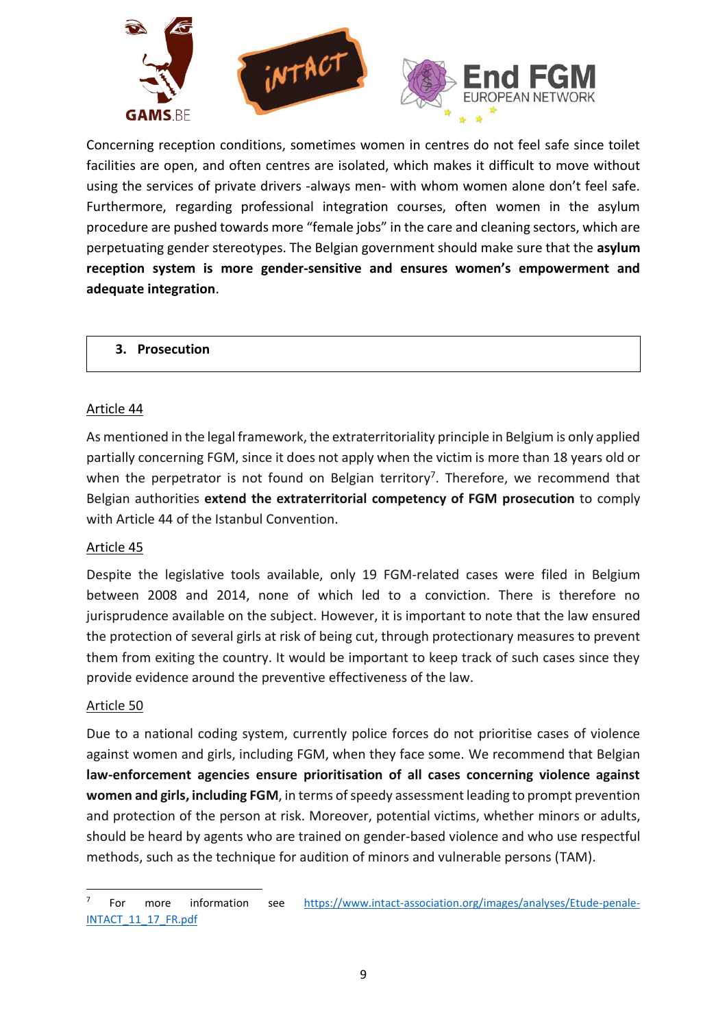

Concerning reception conditions, sometimes women in centres do not feel safe since toilet facilities are open, and often centres are isolated, which makes it difficult to move without using the services of private drivers -always men- with whom women alone don't feel safe. Furthermore, regarding professional integration courses, often women in the asylum procedure are pushed towards more "female jobs" in the care and cleaning sectors, which are perpetuating gender stereotypes. The Belgian government should make sure that the **asylum reception system is more gender-sensitive and ensures women's empowerment and adequate integration**.

<span id="page-8-0"></span>**3. Prosecution**

#### Article 44

As mentioned in the legal framework, the extraterritoriality principle in Belgium is only applied partially concerning FGM, since it does not apply when the victim is more than 18 years old or when the perpetrator is not found on Belgian territory<sup>7</sup>. Therefore, we recommend that Belgian authorities **extend the extraterritorial competency of FGM prosecution** to comply with Article 44 of the Istanbul Convention.

#### Article 45

Despite the legislative tools available, only 19 FGM-related cases were filed in Belgium between 2008 and 2014, none of which led to a conviction. There is therefore no jurisprudence available on the subject. However, it is important to note that the law ensured the protection of several girls at risk of being cut, through protectionary measures to prevent them from exiting the country. It would be important to keep track of such cases since they provide evidence around the preventive effectiveness of the law.

#### Article 50

**.** 

Due to a national coding system, currently police forces do not prioritise cases of violence against women and girls, including FGM, when they face some. We recommend that Belgian **law-enforcement agencies ensure prioritisation of all cases concerning violence against women and girls, including FGM**, in terms of speedy assessment leading to prompt prevention and protection of the person at risk. Moreover, potential victims, whether minors or adults, should be heard by agents who are trained on gender-based violence and who use respectful methods, such as the technique for audition of minors and vulnerable persons (TAM).

<sup>7</sup> For more information see [https://www.intact-association.org/images/analyses/Etude-penale-](https://www.intact-association.org/images/analyses/Etude-penale-INTACT_11_17_FR.pdf)[INTACT\\_11\\_17\\_FR.pdf](https://www.intact-association.org/images/analyses/Etude-penale-INTACT_11_17_FR.pdf)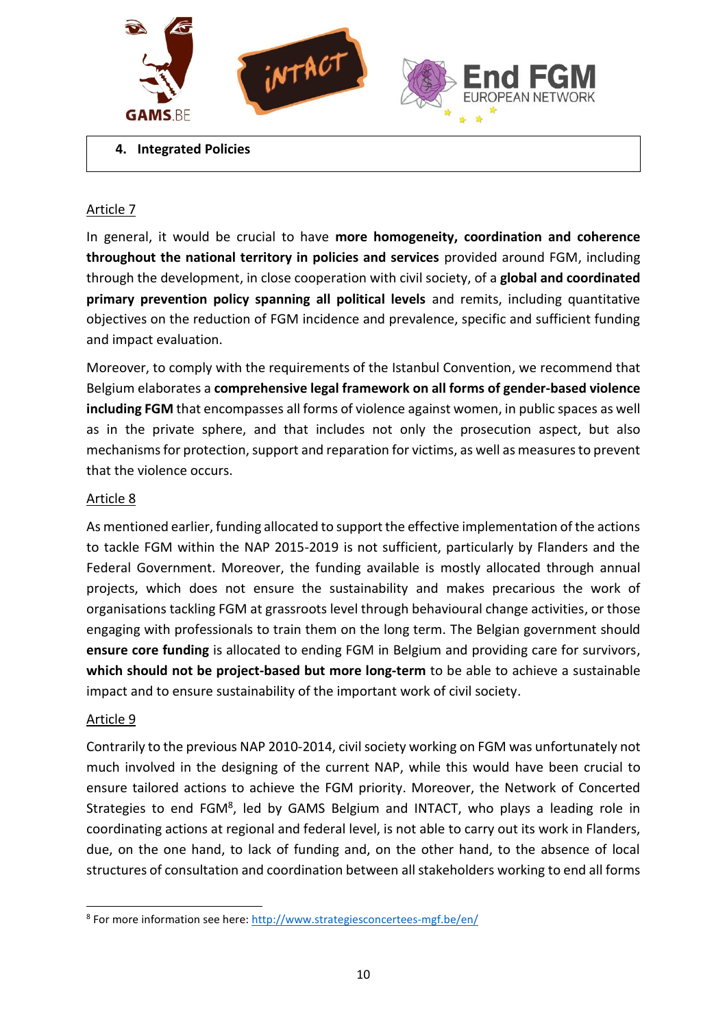

<span id="page-9-0"></span>**4. Integrated Policies**

## Article 7

In general, it would be crucial to have **more homogeneity, coordination and coherence throughout the national territory in policies and services** provided around FGM, including through the development, in close cooperation with civil society, of a **global and coordinated primary prevention policy spanning all political levels** and remits, including quantitative objectives on the reduction of FGM incidence and prevalence, specific and sufficient funding and impact evaluation.

Moreover, to comply with the requirements of the Istanbul Convention, we recommend that Belgium elaborates a **comprehensive legal framework on all forms of gender-based violence including FGM** that encompasses all forms of violence against women, in public spaces as well as in the private sphere, and that includes not only the prosecution aspect, but also mechanisms for protection, support and reparation for victims, as well as measures to prevent that the violence occurs.

## Article 8

As mentioned earlier, funding allocated to support the effective implementation of the actions to tackle FGM within the NAP 2015-2019 is not sufficient, particularly by Flanders and the Federal Government. Moreover, the funding available is mostly allocated through annual projects, which does not ensure the sustainability and makes precarious the work of organisations tackling FGM at grassroots level through behavioural change activities, or those engaging with professionals to train them on the long term. The Belgian government should **ensure core funding** is allocated to ending FGM in Belgium and providing care for survivors, **which should not be project-based but more long-term** to be able to achieve a sustainable impact and to ensure sustainability of the important work of civil society.

#### Article 9

1

Contrarily to the previous NAP 2010-2014, civil society working on FGM was unfortunately not much involved in the designing of the current NAP, while this would have been crucial to ensure tailored actions to achieve the FGM priority. Moreover, the Network of Concerted Strategies to end FGM<sup>8</sup>, led by GAMS Belgium and INTACT, who plays a leading role in coordinating actions at regional and federal level, is not able to carry out its work in Flanders, due, on the one hand, to lack of funding and, on the other hand, to the absence of local structures of consultation and coordination between all stakeholders working to end all forms

<sup>&</sup>lt;sup>8</sup> For more information see here:<http://www.strategiesconcertees-mgf.be/en/>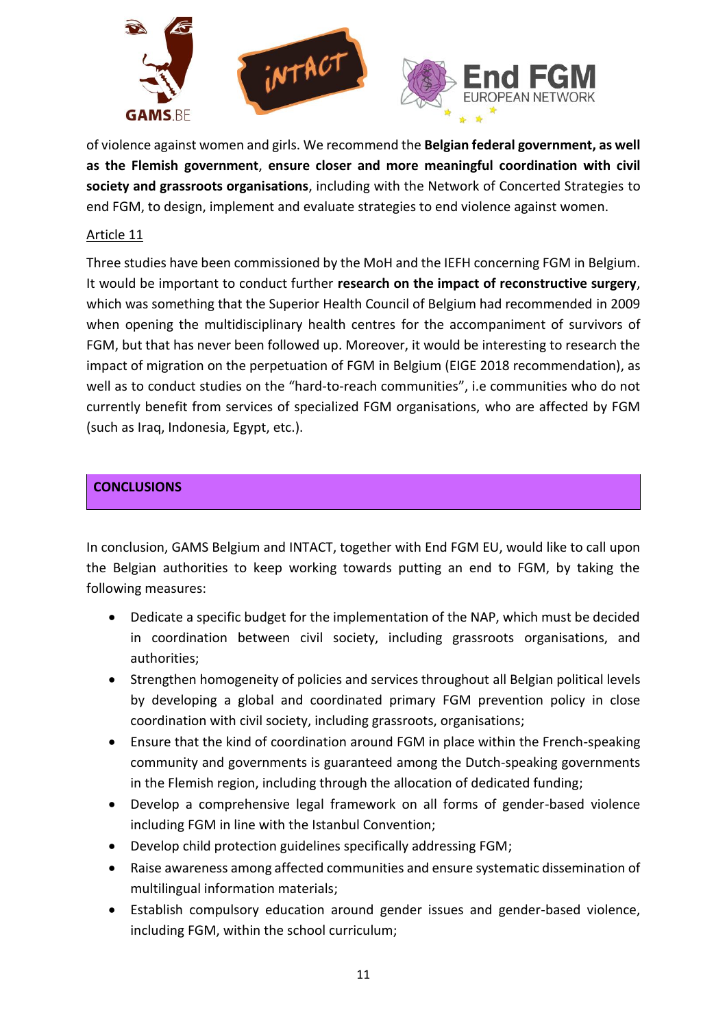

of violence against women and girls. We recommend the **Belgian federal government, as well as the Flemish government**, **ensure closer and more meaningful coordination with civil society and grassroots organisations**, including with the Network of Concerted Strategies to end FGM, to design, implement and evaluate strategies to end violence against women.

## Article 11

Three studies have been commissioned by the MoH and the IEFH concerning FGM in Belgium. It would be important to conduct further **research on the impact of reconstructive surgery**, which was something that the Superior Health Council of Belgium had recommended in 2009 when opening the multidisciplinary health centres for the accompaniment of survivors of FGM, but that has never been followed up. Moreover, it would be interesting to research the impact of migration on the perpetuation of FGM in Belgium (EIGE 2018 recommendation), as well as to conduct studies on the "hard-to-reach communities", i.e communities who do not currently benefit from services of specialized FGM organisations, who are affected by FGM (such as Iraq, Indonesia, Egypt, etc.).

# <span id="page-10-0"></span>**CONCLUSIONS**

In conclusion, GAMS Belgium and INTACT, together with End FGM EU, would like to call upon the Belgian authorities to keep working towards putting an end to FGM, by taking the following measures:

- Dedicate a specific budget for the implementation of the NAP, which must be decided in coordination between civil society, including grassroots organisations, and authorities;
- Strengthen homogeneity of policies and services throughout all Belgian political levels by developing a global and coordinated primary FGM prevention policy in close coordination with civil society, including grassroots, organisations;
- Ensure that the kind of coordination around FGM in place within the French-speaking community and governments is guaranteed among the Dutch-speaking governments in the Flemish region, including through the allocation of dedicated funding;
- Develop a comprehensive legal framework on all forms of gender-based violence including FGM in line with the Istanbul Convention;
- Develop child protection guidelines specifically addressing FGM;
- Raise awareness among affected communities and ensure systematic dissemination of multilingual information materials;
- Establish compulsory education around gender issues and gender-based violence, including FGM, within the school curriculum;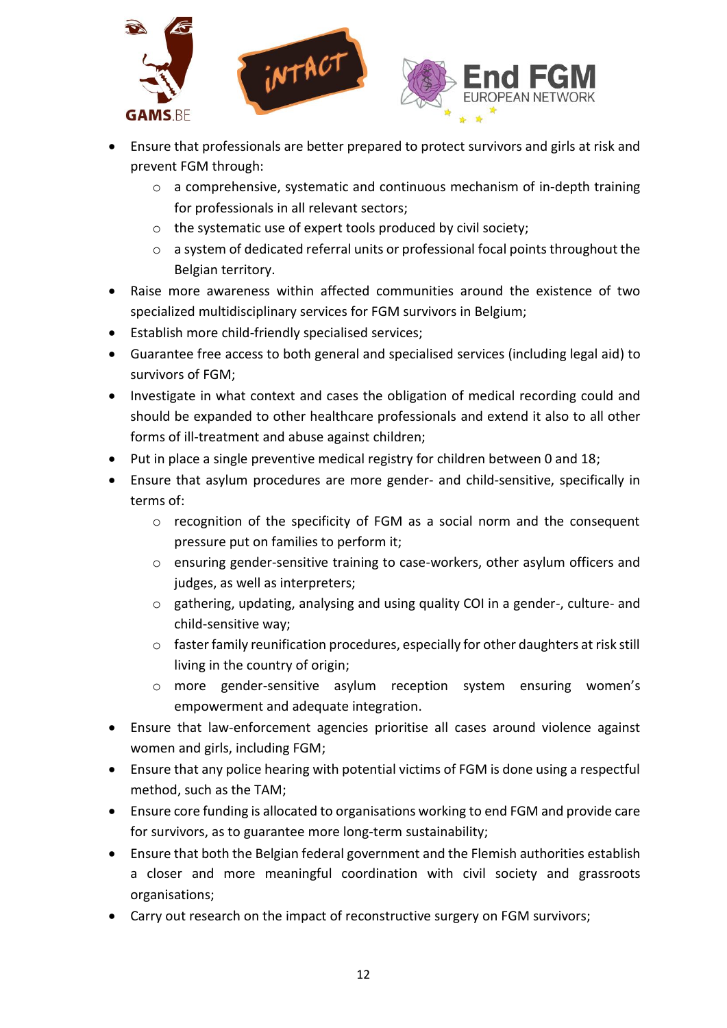

- Ensure that professionals are better prepared to protect survivors and girls at risk and prevent FGM through:
	- o a comprehensive, systematic and continuous mechanism of in-depth training for professionals in all relevant sectors;
	- o the systematic use of expert tools produced by civil society;
	- o a system of dedicated referral units or professional focal points throughout the Belgian territory.
- Raise more awareness within affected communities around the existence of two specialized multidisciplinary services for FGM survivors in Belgium;
- Establish more child-friendly specialised services;
- Guarantee free access to both general and specialised services (including legal aid) to survivors of FGM;
- Investigate in what context and cases the obligation of medical recording could and should be expanded to other healthcare professionals and extend it also to all other forms of ill-treatment and abuse against children;
- Put in place a single preventive medical registry for children between 0 and 18;
- Ensure that asylum procedures are more gender- and child-sensitive, specifically in terms of:
	- o recognition of the specificity of FGM as a social norm and the consequent pressure put on families to perform it;
	- o ensuring gender-sensitive training to case-workers, other asylum officers and judges, as well as interpreters;
	- o gathering, updating, analysing and using quality COI in a gender-, culture- and child-sensitive way;
	- $\circ$  faster family reunification procedures, especially for other daughters at risk still living in the country of origin;
	- o more gender-sensitive asylum reception system ensuring women's empowerment and adequate integration.
- Ensure that law-enforcement agencies prioritise all cases around violence against women and girls, including FGM;
- Ensure that any police hearing with potential victims of FGM is done using a respectful method, such as the TAM;
- Ensure core funding is allocated to organisations working to end FGM and provide care for survivors, as to guarantee more long-term sustainability;
- Ensure that both the Belgian federal government and the Flemish authorities establish a closer and more meaningful coordination with civil society and grassroots organisations;
- Carry out research on the impact of reconstructive surgery on FGM survivors;